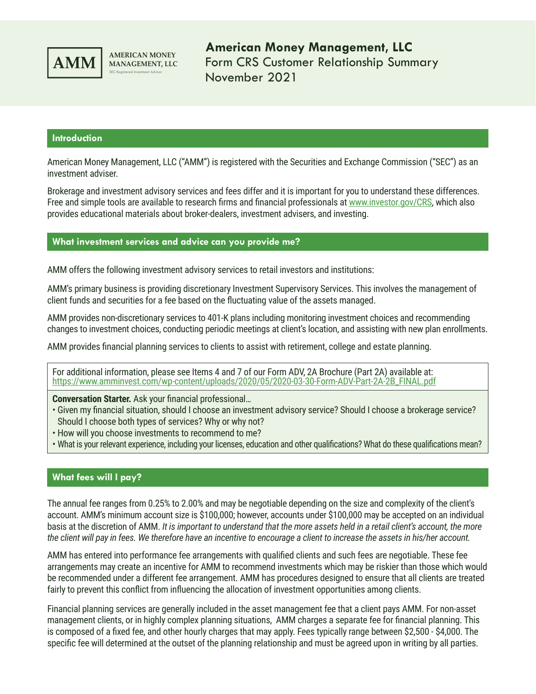

**American Money Management, LLC** Form CRS Customer Relationship Summary November 2021

## **Introduction**

American Money Management, LLC ("AMM") is registered with the Securities and Exchange Commission ("SEC") as an investment adviser.

Brokerage and investment advisory services and fees differ and it is important for you to understand these differences. Free and simple tools are available to research firms and financial professionals at www.investor.gov/CRS, which also provides educational materials about broker-dealers, investment advisers, and investing.

## **What investment services and advice can you provide me?**

AMM offers the following investment advisory services to retail investors and institutions:

AMM's primary business is providing discretionary Investment Supervisory Services. This involves the management of client funds and securities for a fee based on the fluctuating value of the assets managed.

AMM provides non-discretionary services to 401-K plans including monitoring investment choices and recommending changes to investment choices, conducting periodic meetings at client's location, and assisting with new plan enrollments.

AMM provides financial planning services to clients to assist with retirement, college and estate planning.

For additional information, please see Items 4 and 7 of our Form ADV, 2A Brochure (Part 2A) available at: https://www.amminvest.com/wp-content/uploads/2020/05/2020-03-30-Form-ADV-Part-2A-2B\_FINAL.pdf

**Conversation Starter.** Ask your financial professional…

- Given my financial situation, should I choose an investment advisory service? Should I choose a brokerage service? Should I choose both types of services? Why or why not?
- How will you choose investments to recommend to me?
- What is your relevant experience, including your licenses, education and other qualifications? What do these qualifications mean?

# **What fees will I pay?**

The annual fee ranges from 0.25% to 2.00% and may be negotiable depending on the size and complexity of the client's account. AMM's minimum account size is \$100,000; however, accounts under \$100,000 may be accepted on an individual basis at the discretion of AMM. *It is important to understand that the more assets held in a retail client's account, the more the client will pay in fees. We therefore have an incentive to encourage a client to increase the assets in his/her account.* 

AMM has entered into performance fee arrangements with qualified clients and such fees are negotiable. These fee arrangements may create an incentive for AMM to recommend investments which may be riskier than those which would be recommended under a different fee arrangement. AMM has procedures designed to ensure that all clients are treated fairly to prevent this conflict from influencing the allocation of investment opportunities among clients.

Financial planning services are generally included in the asset management fee that a client pays AMM. For non-asset management clients, or in highly complex planning situations, AMM charges a separate fee for financial planning. This is composed of a fixed fee, and other hourly charges that may apply. Fees typically range between \$2,500 - \$4,000. The specific fee will determined at the outset of the planning relationship and must be agreed upon in writing by all parties.